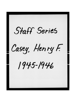Staff Series Casey, Henry F. 1945-1946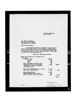438 Bowen Building, May 29, 1945.

**Contractor** 

ì.

**The State** 

Mr. John M. Gillespie, 222 East Michigan Street, Indianapolia, 4, Indiana.

Dear Sir and Brother:

**HFC:ng** 

録

ă

I am presenting herewith a statement of my expenses of a trip to Providence, Rhode Island and Boston, Massachusetts, May 5 to May 8, 1945. This trip was authorized by Frank Tobin to asaiat Local Union No. 251 in the preparation of their wage case before the Trucking Commission.

## EXPENSES TO PROVILENCE & BOSTON

| <i><b>Fay 5, 1945</b></i>                               |                   |                |
|---------------------------------------------------------|-------------------|----------------|
| Railroad Fare                                           | \$28.57           |                |
| Fed.Tax                                                 | 4.29              |                |
| Lover                                                   | 4.35              |                |
| <b>Tax</b>                                              | .55               |                |
| Coach Providence to Buston, May 6                       | .99               |                |
| Pullman Seat Boston to Washington                       | 4.76              | \$43.61        |
| (Includes lat class fare Boston to<br>Providence, R.I.) |                   |                |
| Taxi caba in Wasnington, D. C., May 5                   | $\frac{1}{2}$ .75 |                |
| Taxi cabe in Boston, May 7                              | 1.60              | 2.35           |
| Sunday dinner Boston                                    | \$1.60            |                |
| One smal Monday, Boston, May 7                          | .95               |                |
| Meal on train Buston to Vastington                      | 1.50              | 4.05           |
|                                                         |                   | <b>\$50.11</b> |

Frategnally yours, Henry Casey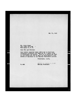May 31, 1945

Mr. Henry Casey<br>438 Bowen Building<br>Washington 5, D. C.  $\overline{\phantom{a}}$ 

Dear Sir and Brother:

Your letter received today addressed to Secretary Gillaspie outlining your expenses on a recent trip<br>to Providence and Boston. This is to advise you that<br>in the future you are to send all statements of this<br>nature of expenses to the General President's office.

Fraternally yours,

 $T \cup T$  : ER

ACTING FOR DANIEL J. TOBIN GEVERAL PRESIDENT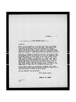September 24, 1946

TO ALL ORGANIZERS OF THE INTERNATIONAL UNION

## **Brothers:**

Under our constitution, a general organizer is entitled<br>to a certain amount of hotsl expenses. Organizers that<br>have been on for many years are entitled to the full<br>amount of \$12.00 a day. hanly a, pointed men, until they<br>a

Relative to staying overnight in hotels, the rule of this organization since its inception is that an organizer that is within forty or fifty miles of his home should riturn. home. Trans, ortetion is now of shell a nature that it is very easy to procure a conveyance to return neme. Many orginivers in shart distances use their own cars, and we allow them the rigular cost of trans, ortati n. This is all we can allow. Organizers that have a meeting in a term. fifty alles from home perhaps could not return home, especially if they muve a conference the next day.

Lately we have had some organizers charging notel bills shom we know from experience could riturn to their nodes -shart distances of fifty or sixty miles.

Try and observe this procedure.

Fratesnally yours,

GENERAL PRECIDENT

DJT:MA:MW A M